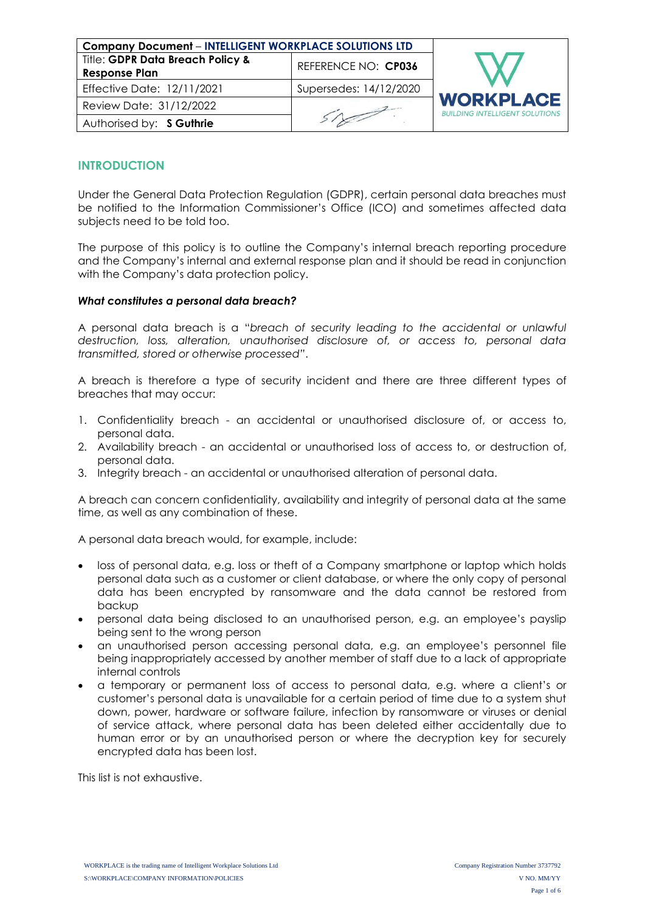| <b>Company Document - INTELLIGENT WORKPLACE SOLUTIONS LTD</b> |                        |                                                           |
|---------------------------------------------------------------|------------------------|-----------------------------------------------------------|
| Title: GDPR Data Breach Policy &<br><b>Response Plan</b>      | REFERENCE NO: CP036    |                                                           |
| Effective Date: 12/11/2021                                    | Supersedes: 14/12/2020 |                                                           |
| Review Date: 31/12/2022                                       |                        | <b>WORKPLACE</b><br><b>BUILDING INTELLIGENT SOLUTIONS</b> |
| Authorised by: S Guthrie                                      |                        |                                                           |

# **INTRODUCTION**

Under the General Data Protection Regulation (GDPR), certain personal data breaches must be notified to the Information Commissioner's Office (ICO) and sometimes affected data subjects need to be told too.

The purpose of this policy is to outline the Company's internal breach reporting procedure and the Company's internal and external response plan and it should be read in conjunction with the Company's data protection policy.

### *What constitutes a personal data breach?*

A personal data breach is a "*breach of security leading to the accidental or unlawful destruction, loss, alteration, unauthorised disclosure of, or access to, personal data transmitted, stored or otherwise processed"*.

A breach is therefore a type of security incident and there are three different types of breaches that may occur:

- 1. Confidentiality breach an accidental or unauthorised disclosure of, or access to, personal data.
- 2. Availability breach an accidental or unauthorised loss of access to, or destruction of, personal data.
- 3. Integrity breach an accidental or unauthorised alteration of personal data.

A breach can concern confidentiality, availability and integrity of personal data at the same time, as well as any combination of these.

A personal data breach would, for example, include:

- loss of personal data, e.g. loss or theft of a Company smartphone or laptop which holds personal data such as a customer or client database, or where the only copy of personal data has been encrypted by ransomware and the data cannot be restored from backup
- personal data being disclosed to an unauthorised person, e.g. an employee's payslip being sent to the wrong person
- an unauthorised person accessing personal data, e.g. an employee's personnel file being inappropriately accessed by another member of staff due to a lack of appropriate internal controls
- a temporary or permanent loss of access to personal data, e.g. where a client's or customer's personal data is unavailable for a certain period of time due to a system shut down, power, hardware or software failure, infection by ransomware or viruses or denial of service attack, where personal data has been deleted either accidentally due to human error or by an unauthorised person or where the decryption key for securely encrypted data has been lost.

This list is not exhaustive.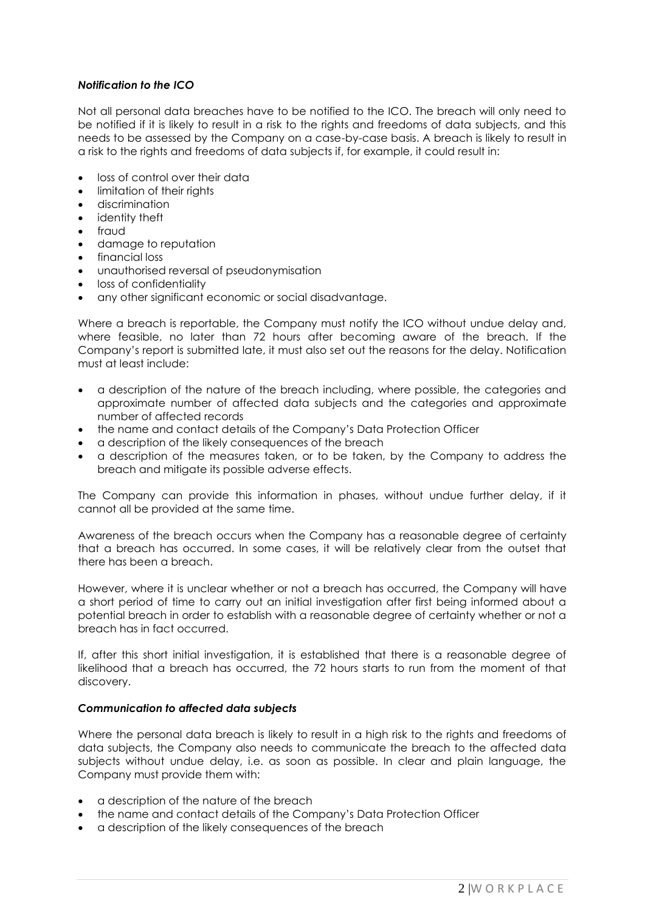## *Notification to the ICO*

Not all personal data breaches have to be notified to the ICO. The breach will only need to be notified if it is likely to result in a risk to the rights and freedoms of data subjects, and this needs to be assessed by the Company on a case-by-case basis. A breach is likely to result in a risk to the rights and freedoms of data subjects if, for example, it could result in:

- loss of control over their data
- limitation of their rights
- discrimination
- identity theft
- fraud
- damage to reputation
- financial loss
- unauthorised reversal of pseudonymisation
- loss of confidentiality
- any other significant economic or social disadvantage.

Where a breach is reportable, the Company must notify the ICO without undue delay and, where feasible, no later than 72 hours after becoming aware of the breach. If the Company's report is submitted late, it must also set out the reasons for the delay. Notification must at least include:

- a description of the nature of the breach including, where possible, the categories and approximate number of affected data subjects and the categories and approximate number of affected records
- the name and contact details of the Company's Data Protection Officer
- a description of the likely consequences of the breach
- a description of the measures taken, or to be taken, by the Company to address the breach and mitigate its possible adverse effects.

The Company can provide this information in phases, without undue further delay, if it cannot all be provided at the same time.

Awareness of the breach occurs when the Company has a reasonable degree of certainty that a breach has occurred. In some cases, it will be relatively clear from the outset that there has been a breach.

However, where it is unclear whether or not a breach has occurred, the Company will have a short period of time to carry out an initial investigation after first being informed about a potential breach in order to establish with a reasonable degree of certainty whether or not a breach has in fact occurred.

If, after this short initial investigation, it is established that there is a reasonable degree of likelihood that a breach has occurred, the 72 hours starts to run from the moment of that discovery.

### *Communication to affected data subjects*

Where the personal data breach is likely to result in a high risk to the rights and freedoms of data subjects, the Company also needs to communicate the breach to the affected data subjects without undue delay, i.e. as soon as possible. In clear and plain language, the Company must provide them with:

- a description of the nature of the breach
- the name and contact details of the Company's Data Protection Officer
- a description of the likely consequences of the breach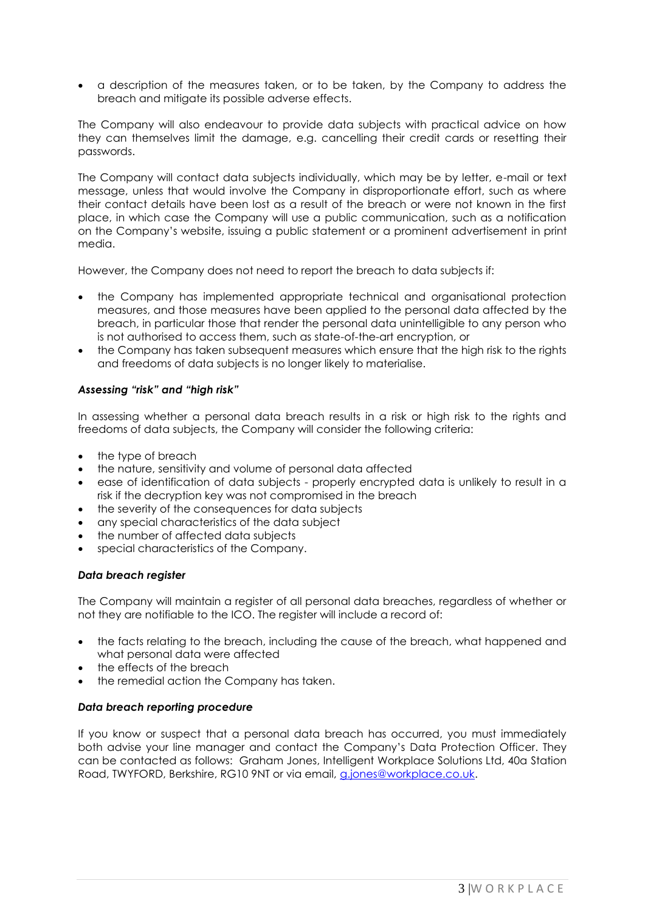• a description of the measures taken, or to be taken, by the Company to address the breach and mitigate its possible adverse effects.

The Company will also endeavour to provide data subjects with practical advice on how they can themselves limit the damage, e.g. cancelling their credit cards or resetting their passwords.

The Company will contact data subjects individually, which may be by letter, e-mail or text message, unless that would involve the Company in disproportionate effort, such as where their contact details have been lost as a result of the breach or were not known in the first place, in which case the Company will use a public communication, such as a notification on the Company's website, issuing a public statement or a prominent advertisement in print media.

However, the Company does not need to report the breach to data subjects if:

- the Company has implemented appropriate technical and organisational protection measures, and those measures have been applied to the personal data affected by the breach, in particular those that render the personal data unintelligible to any person who is not authorised to access them, such as state-of-the-art encryption, or
- the Company has taken subsequent measures which ensure that the high risk to the rights and freedoms of data subjects is no longer likely to materialise.

## *Assessing "risk" and "high risk"*

In assessing whether a personal data breach results in a risk or high risk to the rights and freedoms of data subjects, the Company will consider the following criteria:

- the type of breach
- the nature, sensitivity and volume of personal data affected
- ease of identification of data subjects properly encrypted data is unlikely to result in a risk if the decryption key was not compromised in the breach
- the severity of the consequences for data subjects
- any special characteristics of the data subject
- the number of affected data subjects
- special characteristics of the Company.

### *Data breach register*

The Company will maintain a register of all personal data breaches, regardless of whether or not they are notifiable to the ICO. The register will include a record of:

- the facts relating to the breach, including the cause of the breach, what happened and what personal data were affected
- the effects of the breach
- the remedial action the Company has taken.

### *Data breach reporting procedure*

If you know or suspect that a personal data breach has occurred, you must immediately both advise your line manager and contact the Company's Data Protection Officer. They can be contacted as follows: Graham Jones, Intelligent Workplace Solutions Ltd, 40a Station Road, TWYFORD, Berkshire, RG10 9NT or via email, [g.jones@workplace.co.uk.](mailto:g.jones@workplace.co.uk)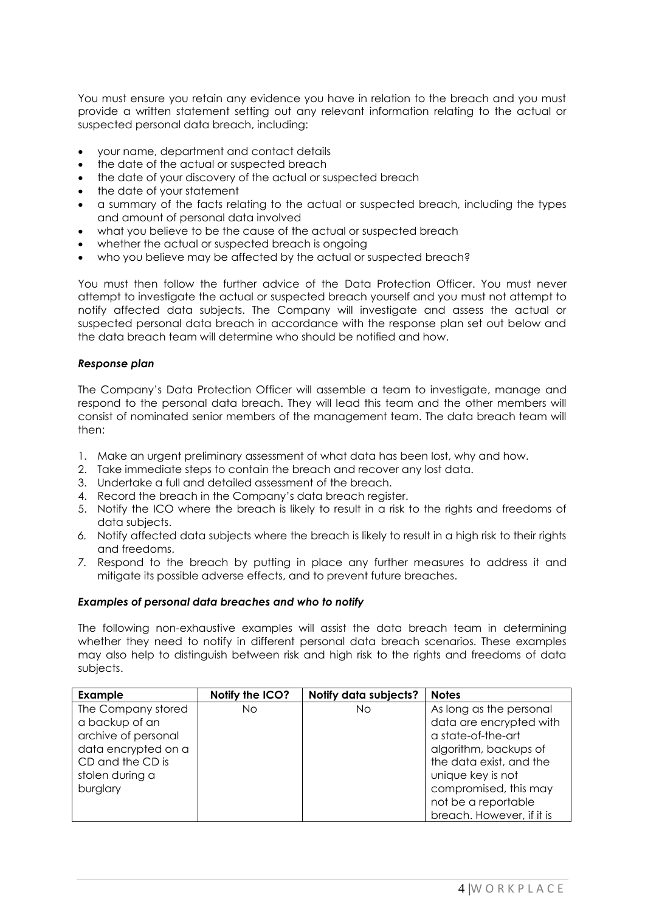You must ensure you retain any evidence you have in relation to the breach and you must provide a written statement setting out any relevant information relating to the actual or suspected personal data breach, including:

- your name, department and contact details
- the date of the actual or suspected breach
- the date of your discovery of the actual or suspected breach
- the date of your statement
- a summary of the facts relating to the actual or suspected breach, including the types and amount of personal data involved
- what you believe to be the cause of the actual or suspected breach
- whether the actual or suspected breach is ongoing
- who you believe may be affected by the actual or suspected breach?

You must then follow the further advice of the Data Protection Officer. You must never attempt to investigate the actual or suspected breach yourself and you must not attempt to notify affected data subjects. The Company will investigate and assess the actual or suspected personal data breach in accordance with the response plan set out below and the data breach team will determine who should be notified and how.

### *Response plan*

The Company's Data Protection Officer will assemble a team to investigate, manage and respond to the personal data breach. They will lead this team and the other members will consist of nominated senior members of the management team. The data breach team will then:

- 1. Make an urgent preliminary assessment of what data has been lost, why and how.
- 2. Take immediate steps to contain the breach and recover any lost data.
- 3. Undertake a full and detailed assessment of the breach.
- 4. Record the breach in the Company's data breach register.
- 5. Notify the ICO where the breach is likely to result in a risk to the rights and freedoms of data subjects.
- *6.* Notify affected data subjects where the breach is likely to result in a high risk to their rights and freedoms.
- *7.* Respond to the breach by putting in place any further measures to address it and mitigate its possible adverse effects, and to prevent future breaches.

### *Examples of personal data breaches and who to notify*

The following non-exhaustive examples will assist the data breach team in determining whether they need to notify in different personal data breach scenarios. These examples may also help to distinguish between risk and high risk to the rights and freedoms of data subjects.

| <b>Example</b>      | Notify the ICO? | Notify data subjects? | <b>Notes</b>              |
|---------------------|-----------------|-----------------------|---------------------------|
| The Company stored  | No              | No                    | As long as the personal   |
| a backup of an      |                 |                       | data are encrypted with   |
| archive of personal |                 |                       | a state-of-the-art        |
| data encrypted on a |                 |                       | algorithm, backups of     |
| CD and the CD is    |                 |                       | the data exist, and the   |
| stolen during a     |                 |                       | unique key is not         |
| burglary            |                 |                       | compromised, this may     |
|                     |                 |                       | not be a reportable       |
|                     |                 |                       | breach. However, if it is |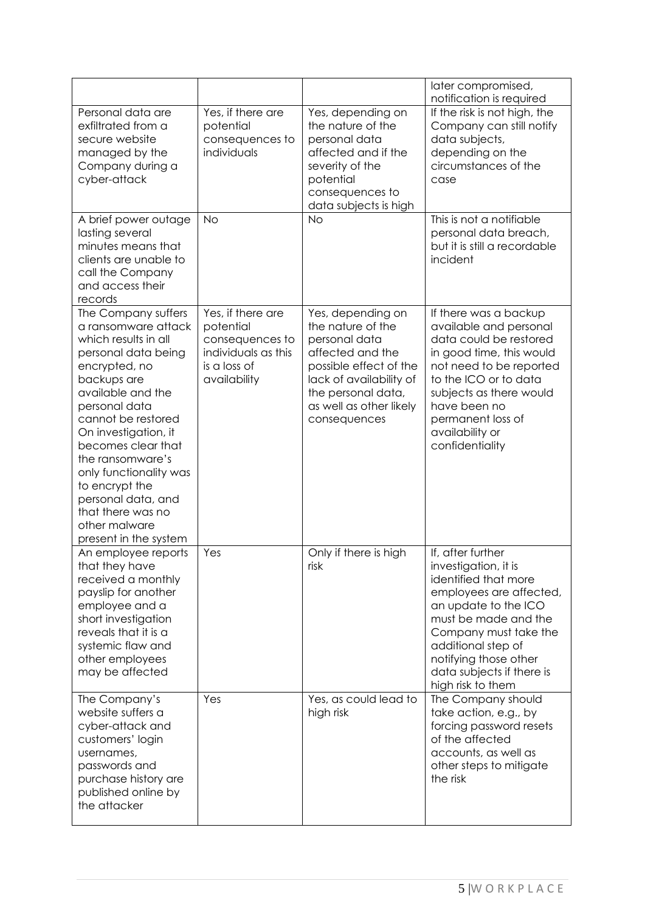|                                                                                                                                                                                                                                                                                                                                                                                          |                                                                                                          |                                                                                                                                                                                                   | later compromised,<br>notification is required                                                                                                                                                                                                                         |
|------------------------------------------------------------------------------------------------------------------------------------------------------------------------------------------------------------------------------------------------------------------------------------------------------------------------------------------------------------------------------------------|----------------------------------------------------------------------------------------------------------|---------------------------------------------------------------------------------------------------------------------------------------------------------------------------------------------------|------------------------------------------------------------------------------------------------------------------------------------------------------------------------------------------------------------------------------------------------------------------------|
| Personal data are<br>exfiltrated from a<br>secure website<br>managed by the<br>Company during a<br>cyber-attack                                                                                                                                                                                                                                                                          | Yes, if there are<br>potential<br>consequences to<br>individuals                                         | Yes, depending on<br>the nature of the<br>personal data<br>affected and if the<br>severity of the<br>potential<br>consequences to<br>data subjects is high                                        | If the risk is not high, the<br>Company can still notify<br>data subjects,<br>depending on the<br>circumstances of the<br>case                                                                                                                                         |
| A brief power outage<br>lasting several<br>minutes means that<br>clients are unable to<br>call the Company<br>and access their<br>records                                                                                                                                                                                                                                                | <b>No</b>                                                                                                | <b>No</b>                                                                                                                                                                                         | This is not a notifiable<br>personal data breach,<br>but it is still a recordable<br>incident                                                                                                                                                                          |
| The Company suffers<br>a ransomware attack<br>which results in all<br>personal data being<br>encrypted, no<br>backups are<br>available and the<br>personal data<br>cannot be restored<br>On investigation, it<br>becomes clear that<br>the ransomware's<br>only functionality was<br>to encrypt the<br>personal data, and<br>that there was no<br>other malware<br>present in the system | Yes, if there are<br>potential<br>consequences to<br>individuals as this<br>is a loss of<br>availability | Yes, depending on<br>the nature of the<br>personal data<br>affected and the<br>possible effect of the<br>lack of availability of<br>the personal data,<br>as well as other likely<br>consequences | If there was a backup<br>available and personal<br>data could be restored<br>in good time, this would<br>not need to be reported<br>to the ICO or to data<br>subjects as there would<br>have been no<br>permanent loss of<br>availability or<br>confidentiality        |
| An employee reports<br>that they have<br>received a monthly<br>payslip for another<br>employee and a<br>short investigation<br>reveals that it is a<br>systemic flaw and<br>other employees<br>may be affected                                                                                                                                                                           | Yes                                                                                                      | Only if there is high<br>risk                                                                                                                                                                     | If, after further<br>investigation, it is<br>identified that more<br>employees are affected,<br>an update to the ICO<br>must be made and the<br>Company must take the<br>additional step of<br>notifying those other<br>data subjects if there is<br>high risk to them |
| The Company's<br>website suffers a<br>cyber-attack and<br>customers' login<br>usernames,<br>passwords and<br>purchase history are<br>published online by<br>the attacker                                                                                                                                                                                                                 | Yes                                                                                                      | Yes, as could lead to<br>high risk                                                                                                                                                                | The Company should<br>take action, e.g., by<br>forcing password resets<br>of the affected<br>accounts, as well as<br>other steps to mitigate<br>the risk                                                                                                               |